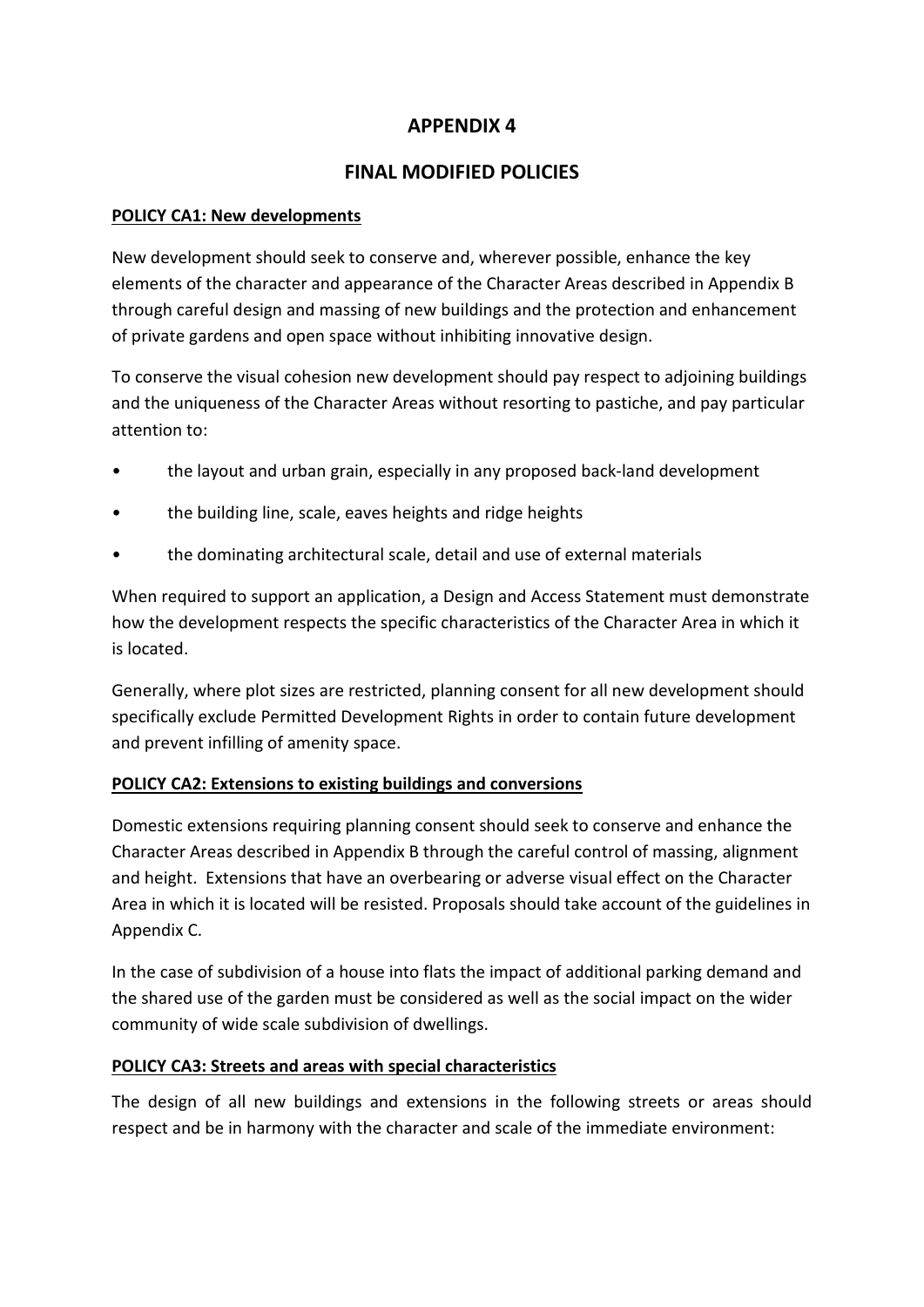# **APPENDIX 4**

# **FINAL MODIFIED POLICIES**

## **POLICY CA1: New developments**

New development should seek to conserve and, wherever possible, enhance the key elements of the character and appearance of the Character Areas described in Appendix B through careful design and massing of new buildings and the protection and enhancement of private gardens and open space without inhibiting innovative design.

To conserve the visual cohesion new development should pay respect to adjoining buildings and the uniqueness of the Character Areas without resorting to pastiche, and pay particular attention to:

- the layout and urban grain, especially in any proposed back-land development
- the building line, scale, eaves heights and ridge heights
- the dominating architectural scale, detail and use of external materials

When required to support an application, a Design and Access Statement must demonstrate how the development respects the specific characteristics of the Character Area in which it is located.

Generally, where plot sizes are restricted, planning consent for all new development should specifically exclude Permitted Development Rights in order to contain future development and prevent infilling of amenity space.

## **POLICY CA2: Extensions to existing buildings and conversions**

Domestic extensions requiring planning consent should seek to conserve and enhance the Character Areas described in Appendix B through the careful control of massing, alignment and height. Extensions that have an overbearing or adverse visual effect on the Character Area in which it is located will be resisted. Proposals should take account of the guidelines in Appendix C.

In the case of subdivision of a house into flats the impact of additional parking demand and the shared use of the garden must be considered as well as the social impact on the wider community of wide scale subdivision of dwellings.

## **POLICY CA3: Streets and areas with special characteristics**

The design of all new buildings and extensions in the following streets or areas should respect and be in harmony with the character and scale of the immediate environment: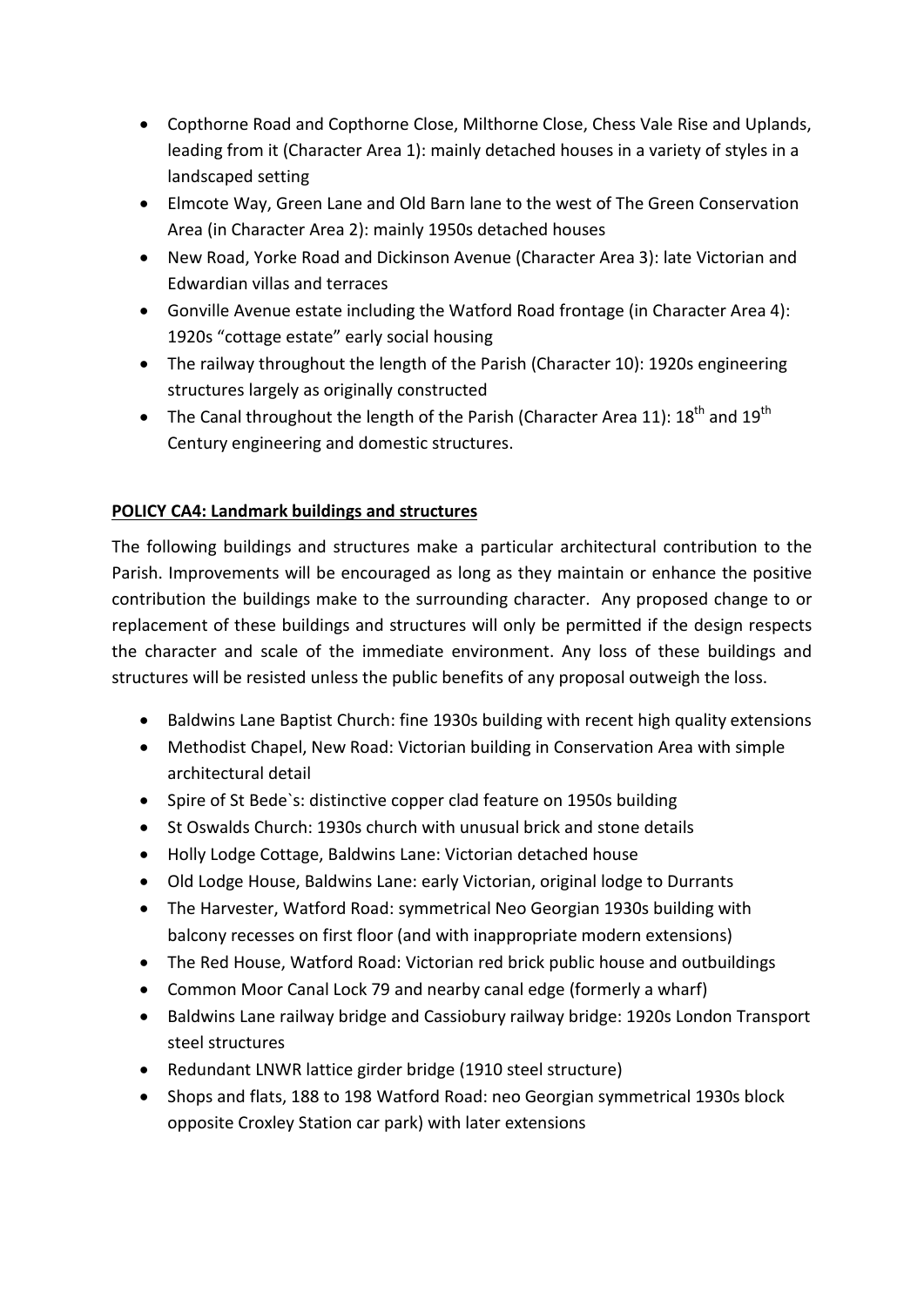- Copthorne Road and Copthorne Close, Milthorne Close, Chess Vale Rise and Uplands, leading from it (Character Area 1): mainly detached houses in a variety of styles in a landscaped setting
- Elmcote Way, Green Lane and Old Barn lane to the west of The Green Conservation Area (in Character Area 2): mainly 1950s detached houses
- New Road, Yorke Road and Dickinson Avenue (Character Area 3): late Victorian and Edwardian villas and terraces
- Gonville Avenue estate including the Watford Road frontage (in Character Area 4): 1920s "cottage estate" early social housing
- The railway throughout the length of the Parish (Character 10): 1920s engineering structures largely as originally constructed
- The Canal throughout the length of the Parish (Character Area 11):  $18^{th}$  and  $19^{th}$ Century engineering and domestic structures.

## **POLICY CA4: Landmark buildings and structures**

The following buildings and structures make a particular architectural contribution to the Parish. Improvements will be encouraged as long as they maintain or enhance the positive contribution the buildings make to the surrounding character. Any proposed change to or replacement of these buildings and structures will only be permitted if the design respects the character and scale of the immediate environment. Any loss of these buildings and structures will be resisted unless the public benefits of any proposal outweigh the loss.

- Baldwins Lane Baptist Church: fine 1930s building with recent high quality extensions
- Methodist Chapel, New Road: Victorian building in Conservation Area with simple architectural detail
- Spire of St Bede`s: distinctive copper clad feature on 1950s building
- St Oswalds Church: 1930s church with unusual brick and stone details
- Holly Lodge Cottage, Baldwins Lane: Victorian detached house
- Old Lodge House, Baldwins Lane: early Victorian, original lodge to Durrants
- The Harvester, Watford Road: symmetrical Neo Georgian 1930s building with balcony recesses on first floor (and with inappropriate modern extensions)
- The Red House, Watford Road: Victorian red brick public house and outbuildings
- Common Moor Canal Lock 79 and nearby canal edge (formerly a wharf)
- Baldwins Lane railway bridge and Cassiobury railway bridge: 1920s London Transport steel structures
- Redundant LNWR lattice girder bridge (1910 steel structure)
- Shops and flats, 188 to 198 Watford Road: neo Georgian symmetrical 1930s block opposite Croxley Station car park) with later extensions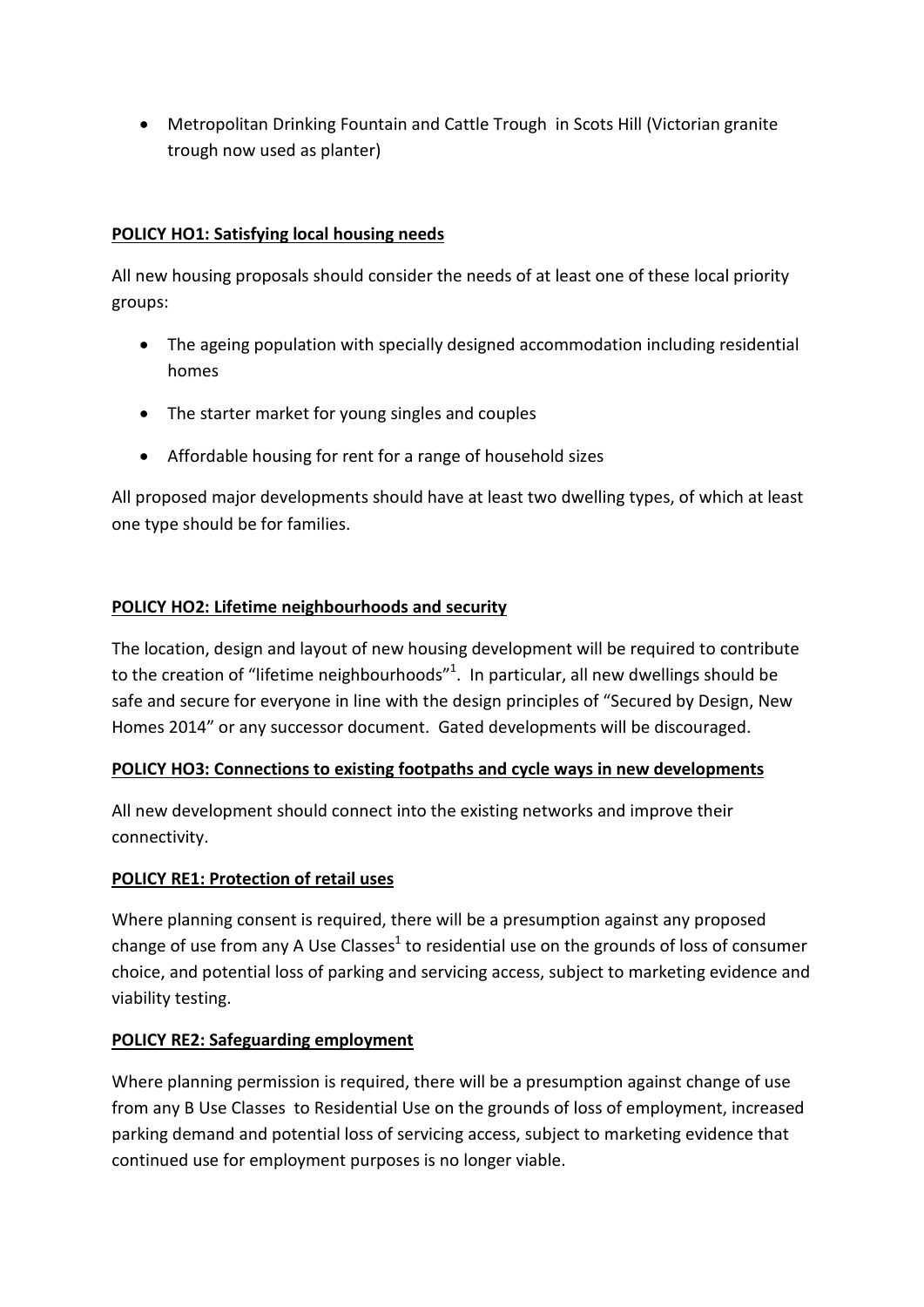• Metropolitan Drinking Fountain and Cattle Trough in Scots Hill (Victorian granite trough now used as planter)

## **POLICY HO1: Satisfying local housing needs**

All new housing proposals should consider the needs of at least one of these local priority groups:

- The ageing population with specially designed accommodation including residential homes
- The starter market for young singles and couples
- Affordable housing for rent for a range of household sizes

All proposed major developments should have at least two dwelling types, of which at least one type should be for families.

## **POLICY HO2: Lifetime neighbourhoods and security**

The location, design and layout of new housing development will be required to contribute to the creation of "lifetime neighbourhoods"<sup>1</sup>. In particular, all new dwellings should be safe and secure for everyone in line with the design principles of "Secured by Design, New Homes 2014" or any successor document. Gated developments will be discouraged.

## **POLICY HO3: Connections to existing footpaths and cycle ways in new developments**

All new development should connect into the existing networks and improve their connectivity.

## **POLICY RE1: Protection of retail uses**

Where planning consent is required, there will be a presumption against any proposed change of use from any A Use Classes<sup>1</sup> to residential use on the grounds of loss of consumer choice, and potential loss of parking and servicing access, subject to marketing evidence and viability testing.

## **POLICY RE2: Safeguarding employment**

Where planning permission is required, there will be a presumption against change of use from any B Use Classes to Residential Use on the grounds of loss of employment, increased parking demand and potential loss of servicing access, subject to marketing evidence that continued use for employment purposes is no longer viable.